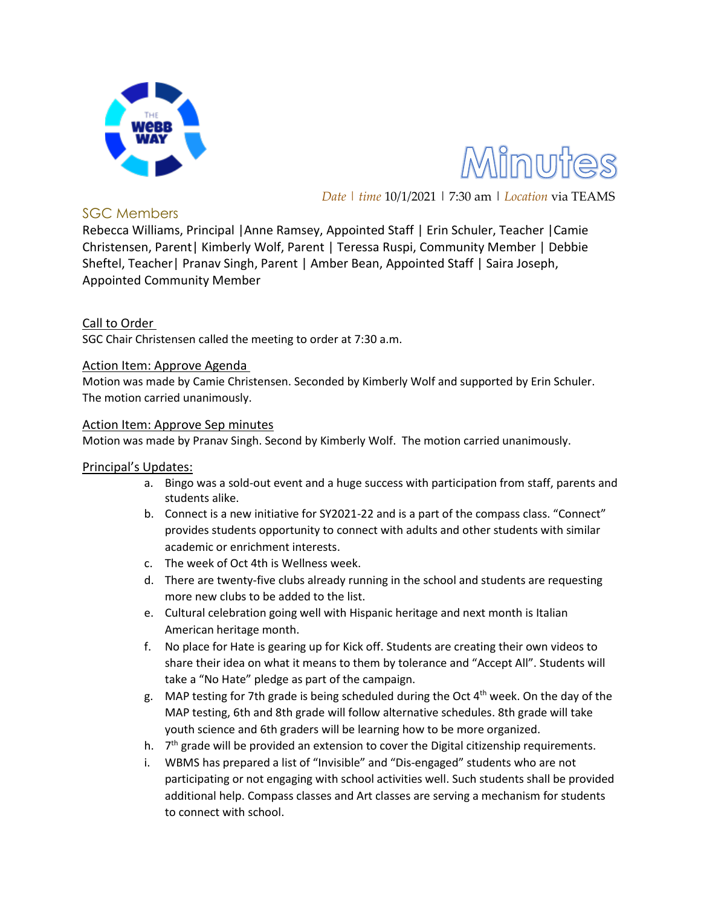



*Date | time* 10/1/2021 | 7:30 am | *Location* via TEAMS

### SGC Members

Rebecca Williams, Principal |Anne Ramsey, Appointed Staff | Erin Schuler, Teacher |Camie Christensen, Parent| Kimberly Wolf, Parent | Teressa Ruspi, Community Member | Debbie Sheftel, Teacher| Pranav Singh, Parent | Amber Bean, Appointed Staff | Saira Joseph, Appointed Community Member

## Call to Order

SGC Chair Christensen called the meeting to order at 7:30 a.m.

#### Action Item: Approve Agenda

Motion was made by Camie Christensen. Seconded by Kimberly Wolf and supported by Erin Schuler. The motion carried unanimously.

#### Action Item: Approve Sep minutes

Motion was made by Pranav Singh. Second by Kimberly Wolf. The motion carried unanimously.

### Principal's Updates:

- a. Bingo was a sold-out event and a huge success with participation from staff, parents and students alike.
- b. Connect is a new initiative for SY2021-22 and is a part of the compass class. "Connect" provides students opportunity to connect with adults and other students with similar academic or enrichment interests.
- c. The week of Oct 4th is Wellness week.
- d. There are twenty-five clubs already running in the school and students are requesting more new clubs to be added to the list.
- e. Cultural celebration going well with Hispanic heritage and next month is Italian American heritage month.
- f. No place for Hate is gearing up for Kick off. Students are creating their own videos to share their idea on what it means to them by tolerance and "Accept All". Students will take a "No Hate" pledge as part of the campaign.
- g. MAP testing for 7th grade is being scheduled during the Oct 4th week. On the day of the MAP testing, 6th and 8th grade will follow alternative schedules. 8th grade will take youth science and 6th graders will be learning how to be more organized.
- h. 7<sup>th</sup> grade will be provided an extension to cover the Digital citizenship requirements.
- i. WBMS has prepared a list of "Invisible" and "Dis-engaged" students who are not participating or not engaging with school activities well. Such students shall be provided additional help. Compass classes and Art classes are serving a mechanism for students to connect with school.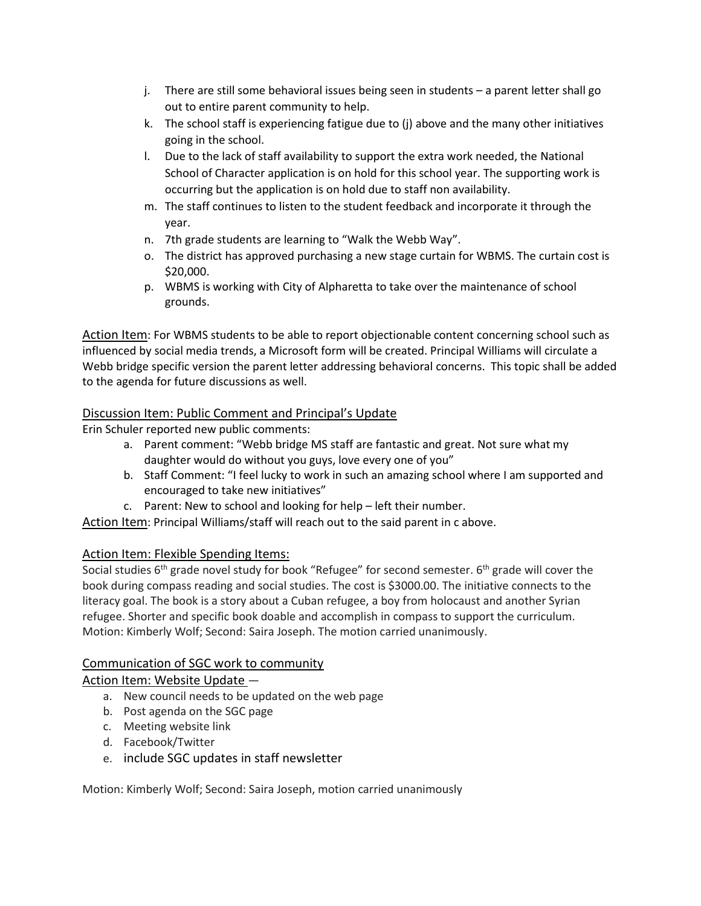- j. There are still some behavioral issues being seen in students a parent letter shall go out to entire parent community to help.
- k. The school staff is experiencing fatigue due to (j) above and the many other initiatives going in the school.
- l. Due to the lack of staff availability to support the extra work needed, the National School of Character application is on hold for this school year. The supporting work is occurring but the application is on hold due to staff non availability.
- m. The staff continues to listen to the student feedback and incorporate it through the year.
- n. 7th grade students are learning to "Walk the Webb Way".
- o. The district has approved purchasing a new stage curtain for WBMS. The curtain cost is \$20,000.
- p. WBMS is working with City of Alpharetta to take over the maintenance of school grounds.

Action Item: For WBMS students to be able to report objectionable content concerning school such as influenced by social media trends, a Microsoft form will be created. Principal Williams will circulate a Webb bridge specific version the parent letter addressing behavioral concerns. This topic shall be added to the agenda for future discussions as well.

## Discussion Item: Public Comment and Principal's Update

Erin Schuler reported new public comments:

- a. Parent comment: "Webb bridge MS staff are fantastic and great. Not sure what my daughter would do without you guys, love every one of you"
- b. Staff Comment: "I feel lucky to work in such an amazing school where I am supported and encouraged to take new initiatives"
- c. Parent: New to school and looking for help left their number.

Action Item: Principal Williams/staff will reach out to the said parent in c above.

# Action Item: Flexible Spending Items:

Social studies 6<sup>th</sup> grade novel study for book "Refugee" for second semester. 6<sup>th</sup> grade will cover the book during compass reading and social studies. The cost is \$3000.00. The initiative connects to the literacy goal. The book is a story about a Cuban refugee, a boy from holocaust and another Syrian refugee. Shorter and specific book doable and accomplish in compass to support the curriculum. Motion: Kimberly Wolf; Second: Saira Joseph. The motion carried unanimously.

# Communication of SGC work to community

### Action Item: Website Update —

- a. New council needs to be updated on the web page
- b. Post agenda on the SGC page
- c. Meeting website link
- d. Facebook/Twitter
- e. include SGC updates in staff newsletter

Motion: Kimberly Wolf; Second: Saira Joseph, motion carried unanimously